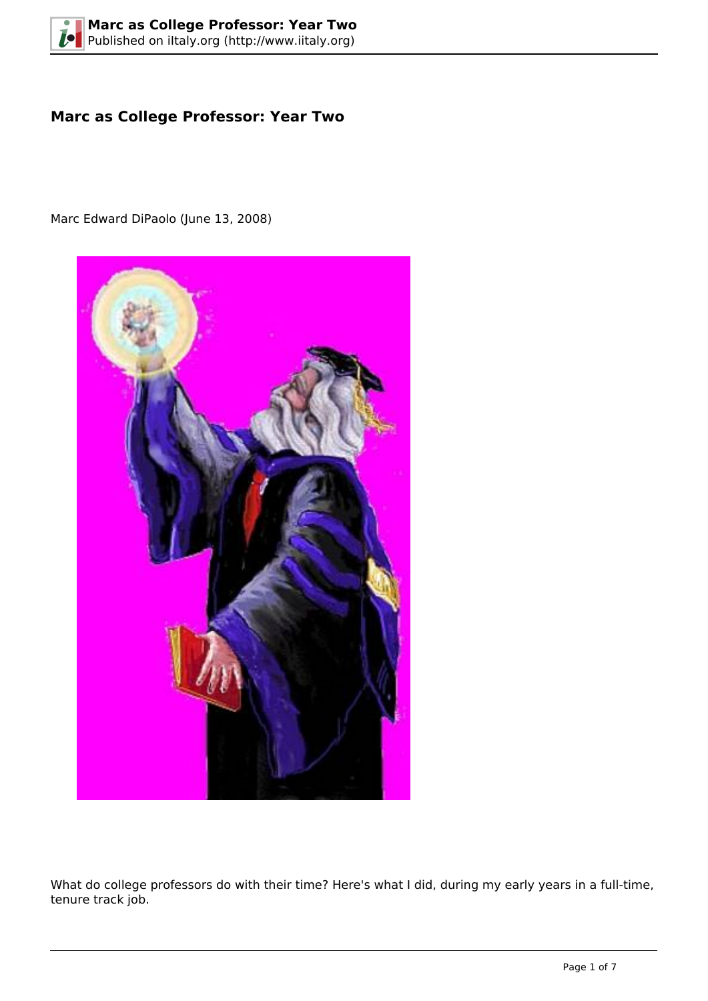# **Marc as College Professor: Year Two**

Marc Edward DiPaolo (June 13, 2008)



What do college professors do with their time? Here's what I did, during my early years in a full-time, tenure track job.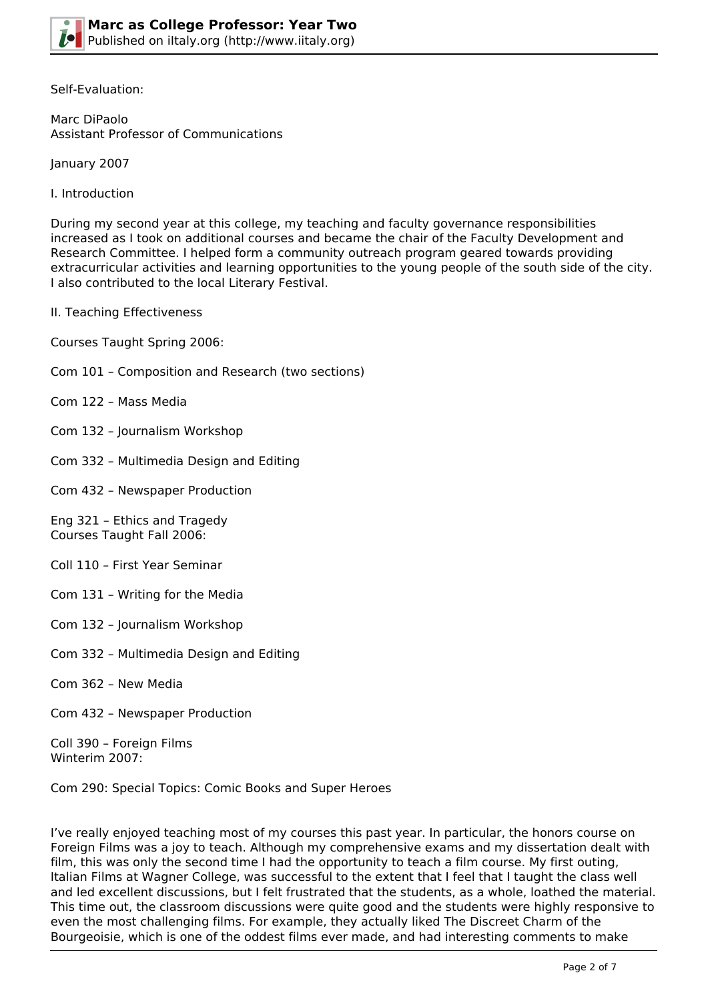

Self-Evaluation:

Marc DiPaolo Assistant Professor of Communications

January 2007

I. Introduction

During my second year at this college, my teaching and faculty governance responsibilities increased as I took on additional courses and became the chair of the Faculty Development and Research Committee. I helped form a community outreach program geared towards providing extracurricular activities and learning opportunities to the young people of the south side of the city. I also contributed to the local Literary Festival.

II. Teaching Effectiveness

Courses Taught Spring 2006:

- Com 101 Composition and Research (two sections)
- Com 122 Mass Media
- Com 132 Journalism Workshop
- Com 332 Multimedia Design and Editing
- Com 432 Newspaper Production

Eng 321 – Ethics and Tragedy Courses Taught Fall 2006:

- Coll 110 First Year Seminar
- Com 131 Writing for the Media
- Com 132 Journalism Workshop
- Com 332 Multimedia Design and Editing
- Com 362 New Media

Com 432 – Newspaper Production

Coll 390 – Foreign Films Winterim 2007:

Com 290: Special Topics: Comic Books and Super Heroes

I've really enjoyed teaching most of my courses this past year. In particular, the honors course on Foreign Films was a joy to teach. Although my comprehensive exams and my dissertation dealt with film, this was only the second time I had the opportunity to teach a film course. My first outing, Italian Films at Wagner College, was successful to the extent that I feel that I taught the class well and led excellent discussions, but I felt frustrated that the students, as a whole, loathed the material. This time out, the classroom discussions were quite good and the students were highly responsive to even the most challenging films. For example, they actually liked The Discreet Charm of the Bourgeoisie, which is one of the oddest films ever made, and had interesting comments to make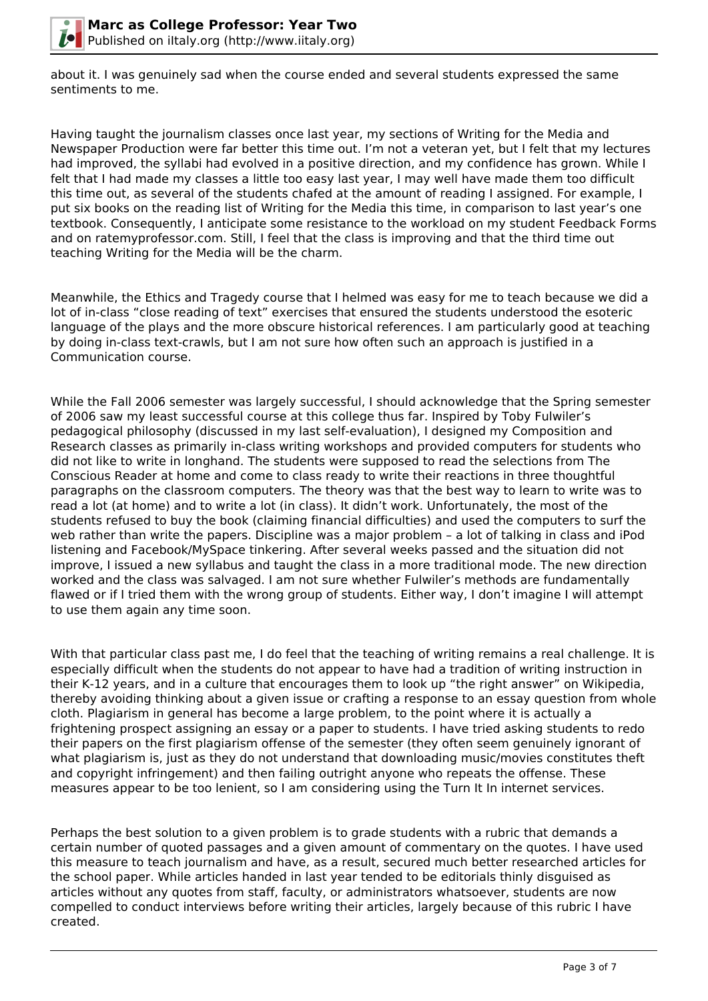

about it. I was genuinely sad when the course ended and several students expressed the same sentiments to me.

Having taught the journalism classes once last year, my sections of Writing for the Media and Newspaper Production were far better this time out. I'm not a veteran yet, but I felt that my lectures had improved, the syllabi had evolved in a positive direction, and my confidence has grown. While I felt that I had made my classes a little too easy last year, I may well have made them too difficult this time out, as several of the students chafed at the amount of reading I assigned. For example, I put six books on the reading list of Writing for the Media this time, in comparison to last year's one textbook. Consequently, I anticipate some resistance to the workload on my student Feedback Forms and on ratemyprofessor.com. Still, I feel that the class is improving and that the third time out teaching Writing for the Media will be the charm.

Meanwhile, the Ethics and Tragedy course that I helmed was easy for me to teach because we did a lot of in-class "close reading of text" exercises that ensured the students understood the esoteric language of the plays and the more obscure historical references. I am particularly good at teaching by doing in-class text-crawls, but I am not sure how often such an approach is justified in a Communication course.

While the Fall 2006 semester was largely successful, I should acknowledge that the Spring semester of 2006 saw my least successful course at this college thus far. Inspired by Toby Fulwiler's pedagogical philosophy (discussed in my last self-evaluation), I designed my Composition and Research classes as primarily in-class writing workshops and provided computers for students who did not like to write in longhand. The students were supposed to read the selections from The Conscious Reader at home and come to class ready to write their reactions in three thoughtful paragraphs on the classroom computers. The theory was that the best way to learn to write was to read a lot (at home) and to write a lot (in class). It didn't work. Unfortunately, the most of the students refused to buy the book (claiming financial difficulties) and used the computers to surf the web rather than write the papers. Discipline was a major problem – a lot of talking in class and iPod listening and Facebook/MySpace tinkering. After several weeks passed and the situation did not improve, I issued a new syllabus and taught the class in a more traditional mode. The new direction worked and the class was salvaged. I am not sure whether Fulwiler's methods are fundamentally flawed or if I tried them with the wrong group of students. Either way, I don't imagine I will attempt to use them again any time soon.

With that particular class past me, I do feel that the teaching of writing remains a real challenge. It is especially difficult when the students do not appear to have had a tradition of writing instruction in their K-12 years, and in a culture that encourages them to look up "the right answer" on Wikipedia, thereby avoiding thinking about a given issue or crafting a response to an essay question from whole cloth. Plagiarism in general has become a large problem, to the point where it is actually a frightening prospect assigning an essay or a paper to students. I have tried asking students to redo their papers on the first plagiarism offense of the semester (they often seem genuinely ignorant of what plagiarism is, just as they do not understand that downloading music/movies constitutes theft and copyright infringement) and then failing outright anyone who repeats the offense. These measures appear to be too lenient, so I am considering using the Turn It In internet services.

Perhaps the best solution to a given problem is to grade students with a rubric that demands a certain number of quoted passages and a given amount of commentary on the quotes. I have used this measure to teach journalism and have, as a result, secured much better researched articles for the school paper. While articles handed in last year tended to be editorials thinly disguised as articles without any quotes from staff, faculty, or administrators whatsoever, students are now compelled to conduct interviews before writing their articles, largely because of this rubric I have created.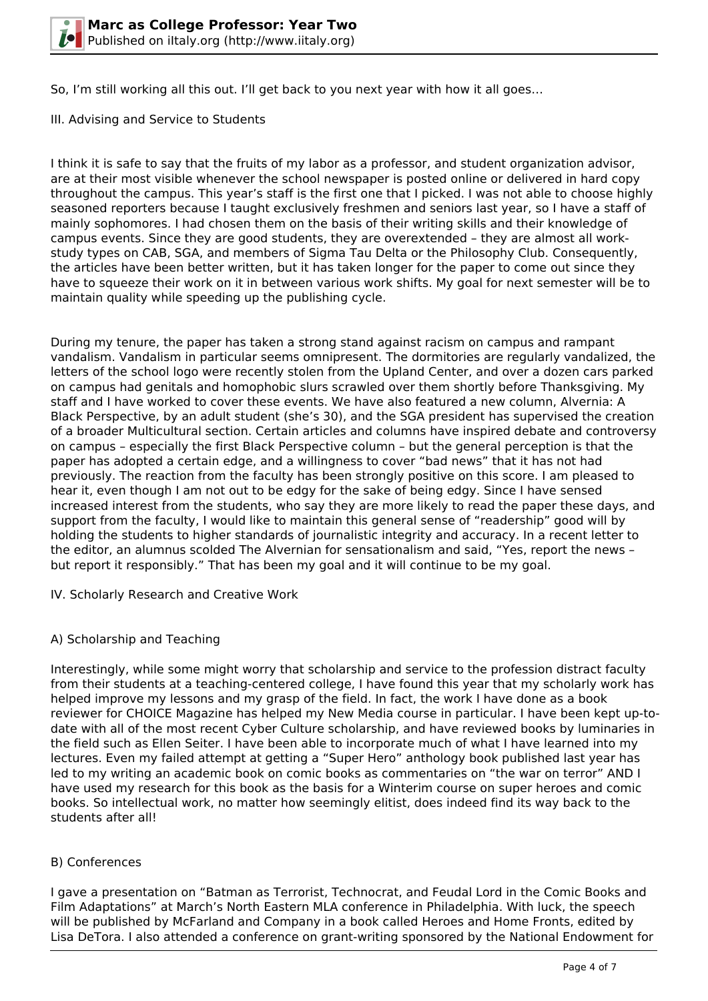So, I'm still working all this out. I'll get back to you next year with how it all goes…

III. Advising and Service to Students

I think it is safe to say that the fruits of my labor as a professor, and student organization advisor, are at their most visible whenever the school newspaper is posted online or delivered in hard copy throughout the campus. This year's staff is the first one that I picked. I was not able to choose highly seasoned reporters because I taught exclusively freshmen and seniors last year, so I have a staff of mainly sophomores. I had chosen them on the basis of their writing skills and their knowledge of campus events. Since they are good students, they are overextended – they are almost all workstudy types on CAB, SGA, and members of Sigma Tau Delta or the Philosophy Club. Consequently, the articles have been better written, but it has taken longer for the paper to come out since they have to squeeze their work on it in between various work shifts. My goal for next semester will be to maintain quality while speeding up the publishing cycle.

During my tenure, the paper has taken a strong stand against racism on campus and rampant vandalism. Vandalism in particular seems omnipresent. The dormitories are regularly vandalized, the letters of the school logo were recently stolen from the Upland Center, and over a dozen cars parked on campus had genitals and homophobic slurs scrawled over them shortly before Thanksgiving. My staff and I have worked to cover these events. We have also featured a new column, Alvernia: A Black Perspective, by an adult student (she's 30), and the SGA president has supervised the creation of a broader Multicultural section. Certain articles and columns have inspired debate and controversy on campus – especially the first Black Perspective column – but the general perception is that the paper has adopted a certain edge, and a willingness to cover "bad news" that it has not had previously. The reaction from the faculty has been strongly positive on this score. I am pleased to hear it, even though I am not out to be edgy for the sake of being edgy. Since I have sensed increased interest from the students, who say they are more likely to read the paper these days, and support from the faculty, I would like to maintain this general sense of "readership" good will by holding the students to higher standards of journalistic integrity and accuracy. In a recent letter to the editor, an alumnus scolded The Alvernian for sensationalism and said, "Yes, report the news – but report it responsibly." That has been my goal and it will continue to be my goal.

IV. Scholarly Research and Creative Work

## A) Scholarship and Teaching

Interestingly, while some might worry that scholarship and service to the profession distract faculty from their students at a teaching-centered college, I have found this year that my scholarly work has helped improve my lessons and my grasp of the field. In fact, the work I have done as a book reviewer for CHOICE Magazine has helped my New Media course in particular. I have been kept up-todate with all of the most recent Cyber Culture scholarship, and have reviewed books by luminaries in the field such as Ellen Seiter. I have been able to incorporate much of what I have learned into my lectures. Even my failed attempt at getting a "Super Hero" anthology book published last year has led to my writing an academic book on comic books as commentaries on "the war on terror" AND I have used my research for this book as the basis for a Winterim course on super heroes and comic books. So intellectual work, no matter how seemingly elitist, does indeed find its way back to the students after all!

## B) Conferences

I gave a presentation on "Batman as Terrorist, Technocrat, and Feudal Lord in the Comic Books and Film Adaptations" at March's North Eastern MLA conference in Philadelphia. With luck, the speech will be published by McFarland and Company in a book called Heroes and Home Fronts, edited by Lisa DeTora. I also attended a conference on grant-writing sponsored by the National Endowment for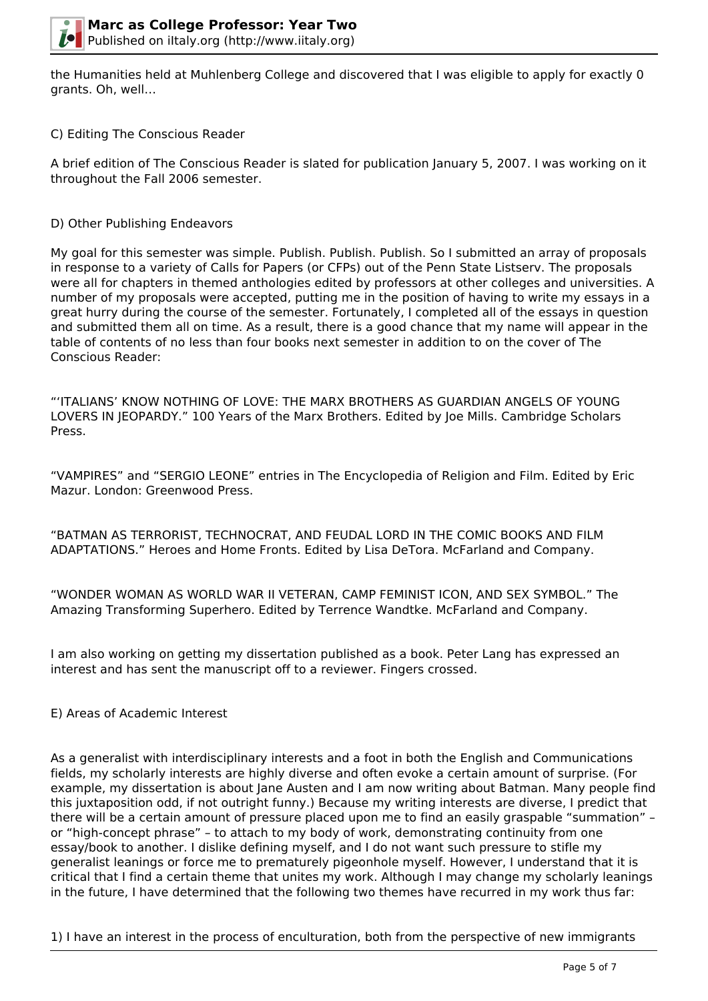

the Humanities held at Muhlenberg College and discovered that I was eligible to apply for exactly 0 grants. Oh, well…

## C) Editing The Conscious Reader

A brief edition of The Conscious Reader is slated for publication January 5, 2007. I was working on it throughout the Fall 2006 semester.

#### D) Other Publishing Endeavors

My goal for this semester was simple. Publish. Publish. Publish. So I submitted an array of proposals in response to a variety of Calls for Papers (or CFPs) out of the Penn State Listserv. The proposals were all for chapters in themed anthologies edited by professors at other colleges and universities. A number of my proposals were accepted, putting me in the position of having to write my essays in a great hurry during the course of the semester. Fortunately, I completed all of the essays in question and submitted them all on time. As a result, there is a good chance that my name will appear in the table of contents of no less than four books next semester in addition to on the cover of The Conscious Reader:

"'ITALIANS' KNOW NOTHING OF LOVE: THE MARX BROTHERS AS GUARDIAN ANGELS OF YOUNG LOVERS IN JEOPARDY." 100 Years of the Marx Brothers. Edited by Joe Mills. Cambridge Scholars Press.

"VAMPIRES" and "SERGIO LEONE" entries in The Encyclopedia of Religion and Film. Edited by Eric Mazur. London: Greenwood Press.

"BATMAN AS TERRORIST, TECHNOCRAT, AND FEUDAL LORD IN THE COMIC BOOKS AND FILM ADAPTATIONS." Heroes and Home Fronts. Edited by Lisa DeTora. McFarland and Company.

"WONDER WOMAN AS WORLD WAR II VETERAN, CAMP FEMINIST ICON, AND SEX SYMBOL." The Amazing Transforming Superhero. Edited by Terrence Wandtke. McFarland and Company.

I am also working on getting my dissertation published as a book. Peter Lang has expressed an interest and has sent the manuscript off to a reviewer. Fingers crossed.

#### E) Areas of Academic Interest

As a generalist with interdisciplinary interests and a foot in both the English and Communications fields, my scholarly interests are highly diverse and often evoke a certain amount of surprise. (For example, my dissertation is about Jane Austen and I am now writing about Batman. Many people find this juxtaposition odd, if not outright funny.) Because my writing interests are diverse, I predict that there will be a certain amount of pressure placed upon me to find an easily graspable "summation" – or "high-concept phrase" – to attach to my body of work, demonstrating continuity from one essay/book to another. I dislike defining myself, and I do not want such pressure to stifle my generalist leanings or force me to prematurely pigeonhole myself. However, I understand that it is critical that I find a certain theme that unites my work. Although I may change my scholarly leanings in the future, I have determined that the following two themes have recurred in my work thus far:

1) I have an interest in the process of enculturation, both from the perspective of new immigrants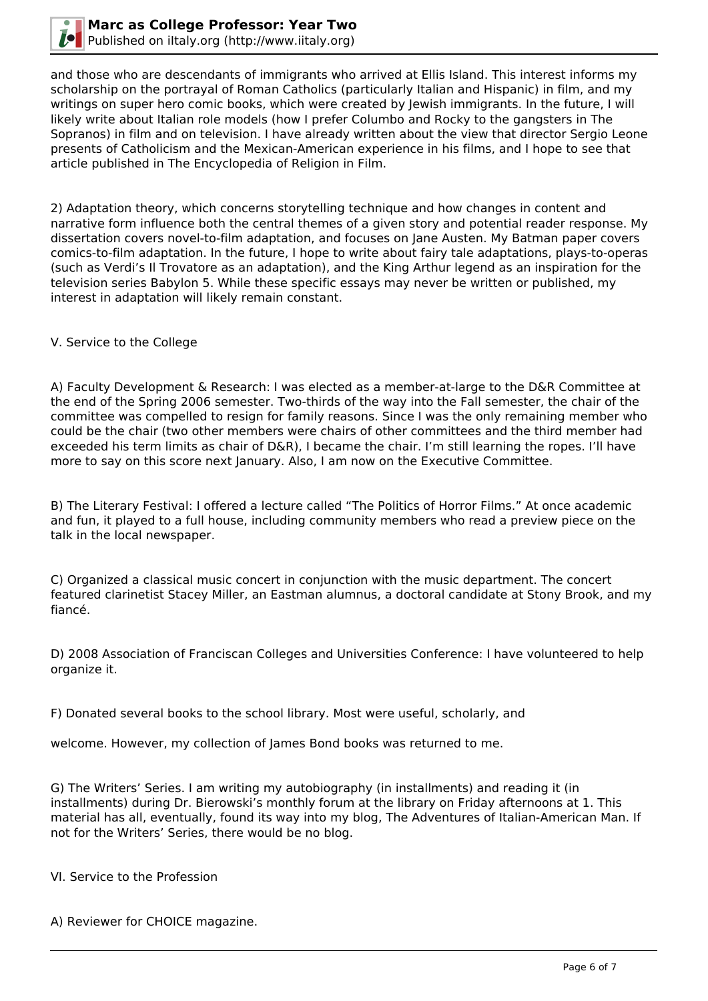

and those who are descendants of immigrants who arrived at Ellis Island. This interest informs my scholarship on the portrayal of Roman Catholics (particularly Italian and Hispanic) in film, and my writings on super hero comic books, which were created by Jewish immigrants. In the future, I will likely write about Italian role models (how I prefer Columbo and Rocky to the gangsters in The Sopranos) in film and on television. I have already written about the view that director Sergio Leone presents of Catholicism and the Mexican-American experience in his films, and I hope to see that article published in The Encyclopedia of Religion in Film.

2) Adaptation theory, which concerns storytelling technique and how changes in content and narrative form influence both the central themes of a given story and potential reader response. My dissertation covers novel-to-film adaptation, and focuses on Jane Austen. My Batman paper covers comics-to-film adaptation. In the future, I hope to write about fairy tale adaptations, plays-to-operas (such as Verdi's Il Trovatore as an adaptation), and the King Arthur legend as an inspiration for the television series Babylon 5. While these specific essays may never be written or published, my interest in adaptation will likely remain constant.

V. Service to the College

A) Faculty Development & Research: I was elected as a member-at-large to the D&R Committee at the end of the Spring 2006 semester. Two-thirds of the way into the Fall semester, the chair of the committee was compelled to resign for family reasons. Since I was the only remaining member who could be the chair (two other members were chairs of other committees and the third member had exceeded his term limits as chair of D&R), I became the chair. I'm still learning the ropes. I'll have more to say on this score next January. Also, I am now on the Executive Committee.

B) The Literary Festival: I offered a lecture called "The Politics of Horror Films." At once academic and fun, it played to a full house, including community members who read a preview piece on the talk in the local newspaper.

C) Organized a classical music concert in conjunction with the music department. The concert featured clarinetist Stacey Miller, an Eastman alumnus, a doctoral candidate at Stony Brook, and my fiancé.

D) 2008 Association of Franciscan Colleges and Universities Conference: I have volunteered to help organize it.

F) Donated several books to the school library. Most were useful, scholarly, and

welcome. However, my collection of James Bond books was returned to me.

G) The Writers' Series. I am writing my autobiography (in installments) and reading it (in installments) during Dr. Bierowski's monthly forum at the library on Friday afternoons at 1. This material has all, eventually, found its way into my blog, The Adventures of Italian-American Man. If not for the Writers' Series, there would be no blog.

VI. Service to the Profession

A) Reviewer for CHOICE magazine.